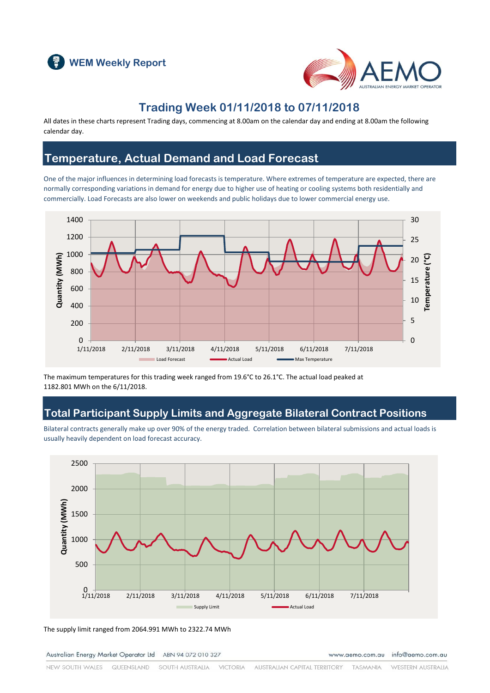



## **Trading Week 01/11/2018 to 07/11/2018**

All dates in these charts represent Trading days, commencing at 8.00am on the calendar day and ending at 8.00am the following calendar day.

#### **Temperature, Actual Demand and Load Forecast**

One of the major influences in determining load forecasts is temperature. Where extremes of temperature are expected, there are normally corresponding variations in demand for energy due to higher use of heating or cooling systems both residentially and commercially. Load Forecasts are also lower on weekends and public holidays due to lower commercial energy use.



The maximum temperatures for this trading week ranged from 19.6°C to 26.1°C. The actual load peaked at 1182.801 MWh on the 6/11/2018.

#### **Total Participant Supply Limits and Aggregate Bilateral Contract Positions**

Bilateral contracts generally make up over 90% of the energy traded. Correlation between bilateral submissions and actual loads is usually heavily dependent on load forecast accuracy.



The supply limit ranged from 2064.991 MWh to 2322.74 MWh

Australian Energy Market Operator Ltd ABN 94 072 010 327

www.aemo.com.au info@aemo.com.au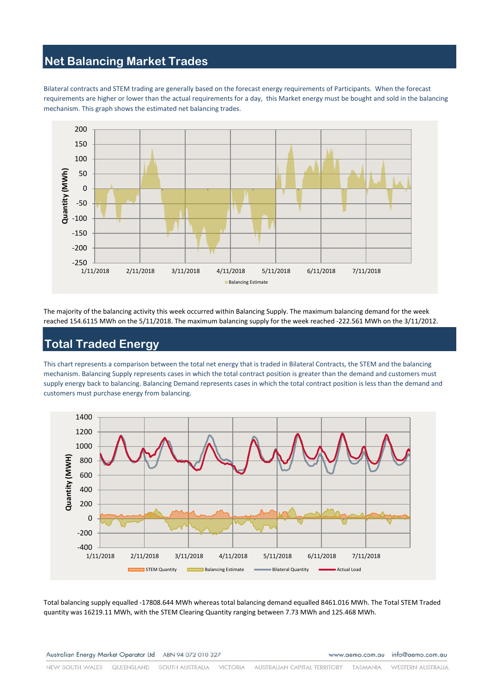## **Net Balancing Market Trades**

Bilateral contracts and STEM trading are generally based on the forecast energy requirements of Participants. When the forecast requirements are higher or lower than the actual requirements for a day, this Market energy must be bought and sold in the balancing mechanism. This graph shows the estimated net balancing trades.



The majority of the balancing activity this week occurred within Balancing Supply. The maximum balancing demand for the week reached 154.6115 MWh on the 5/11/2018. The maximum balancing supply for the week reached -222.561 MWh on the 3/11/2012.

## **Total Traded Energy**

This chart represents a comparison between the total net energy that is traded in Bilateral Contracts, the STEM and the balancing mechanism. Balancing Supply represents cases in which the total contract position is greater than the demand and customers must supply energy back to balancing. Balancing Demand represents cases in which the total contract position is less than the demand and customers must purchase energy from balancing.



Total balancing supply equalled -17808.644 MWh whereas total balancing demand equalled 8461.016 MWh. The Total STEM Traded quantity was 16219.11 MWh, with the STEM Clearing Quantity ranging between 7.73 MWh and 125.468 MWh.